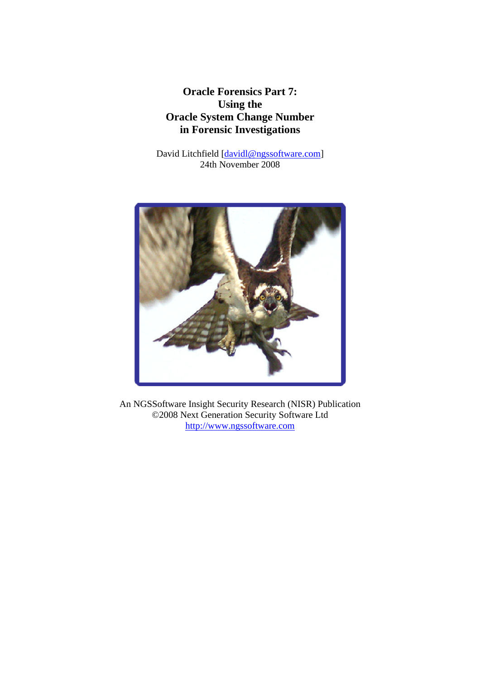**Oracle Forensics Part 7: Using the Oracle System Change Number in Forensic Investigations** 

David Litchfield [davidl@ngssoftware.com] 24th November 2008



An NGSSoftware Insight Security Research (NISR) Publication ©2008 Next Generation Security Software Ltd http://www.ngssoftware.com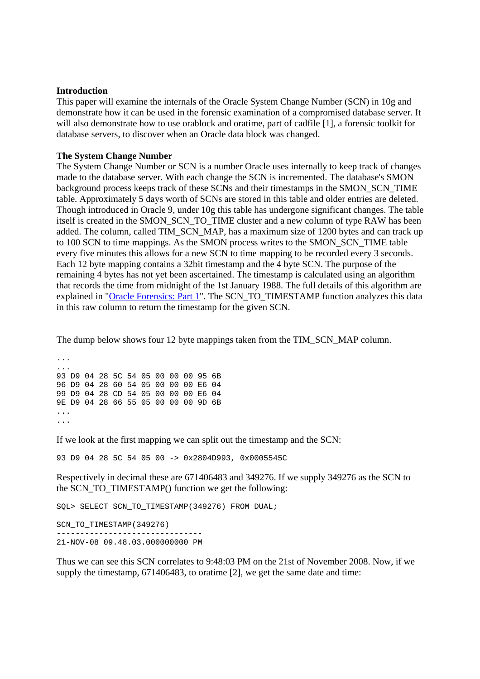## **Introduction**

This paper will examine the internals of the Oracle System Change Number (SCN) in 10g and demonstrate how it can be used in the forensic examination of a compromised database server. It will also demonstrate how to use orablock and oratime, part of cadfile [1], a forensic toolkit for database servers, to discover when an Oracle data block was changed.

## **The System Change Number**

The System Change Number or SCN is a number Oracle uses internally to keep track of changes made to the database server. With each change the SCN is incremented. The database's SMON background process keeps track of these SCNs and their timestamps in the SMON\_SCN\_TIME table. Approximately 5 days worth of SCNs are stored in this table and older entries are deleted. Though introduced in Oracle 9, under 10g this table has undergone significant changes. The table itself is created in the SMON\_SCN\_TO\_TIME cluster and a new column of type RAW has been added. The column, called TIM\_SCN\_MAP, has a maximum size of 1200 bytes and can track up to 100 SCN to time mappings. As the SMON process writes to the SMON\_SCN\_TIME table every five minutes this allows for a new SCN to time mapping to be recorded every 3 seconds. Each 12 byte mapping contains a 32bit timestamp and the 4 byte SCN. The purpose of the remaining 4 bytes has not yet been ascertained. The timestamp is calculated using an algorithm that records the time from midnight of the 1st January 1988. The full details of this algorithm are explained in "Oracle Forensics: Part 1". The SCN TO\_TIMESTAMP function analyzes this data in this raw column to return the timestamp for the given SCN.

The dump below shows four 12 byte mappings taken from the TIM\_SCN\_MAP column.

... ... 93 D9 04 28 5C 54 05 00 00 00 95 6B 96 D9 04 28 60 54 05 00 00 00 E6 04 99 D9 04 28 CD 54 05 00 00 00 E6 04 9E D9 04 28 66 55 05 00 00 00 9D 6B ... ...

If we look at the first mapping we can split out the timestamp and the SCN:

93 D9 04 28 5C 54 05 00 -> 0x2804D993, 0x0005545C

Respectively in decimal these are 671406483 and 349276. If we supply 349276 as the SCN to the SCN\_TO\_TIMESTAMP() function we get the following:

SQL> SELECT SCN\_TO\_TIMESTAMP(349276) FROM DUAL;

SCN\_TO\_TIMESTAMP(349276) ------------------------------- 21-NOV-08 09.48.03.000000000 PM

Thus we can see this SCN correlates to 9:48:03 PM on the 21st of November 2008. Now, if we supply the timestamp, 671406483, to oratime [2], we get the same date and time: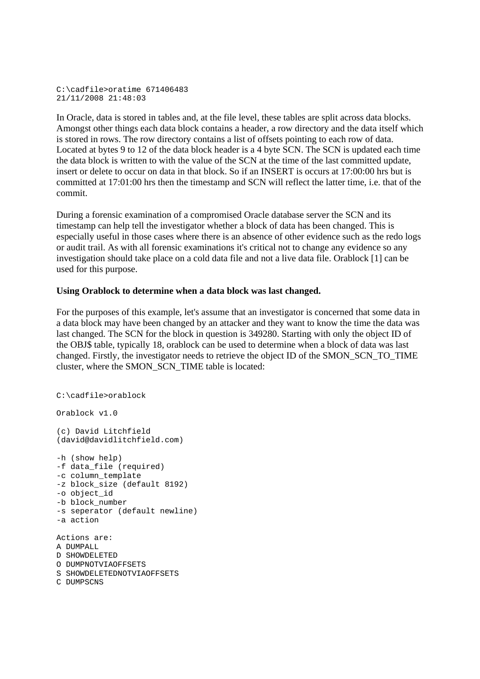```
C:\cadfile>oratime 671406483 
21/11/2008 21:48:03
```
In Oracle, data is stored in tables and, at the file level, these tables are split across data blocks. Amongst other things each data block contains a header, a row directory and the data itself which is stored in rows. The row directory contains a list of offsets pointing to each row of data. Located at bytes 9 to 12 of the data block header is a 4 byte SCN. The SCN is updated each time the data block is written to with the value of the SCN at the time of the last committed update, insert or delete to occur on data in that block. So if an INSERT is occurs at 17:00:00 hrs but is committed at 17:01:00 hrs then the timestamp and SCN will reflect the latter time, i.e. that of the commit.

During a forensic examination of a compromised Oracle database server the SCN and its timestamp can help tell the investigator whether a block of data has been changed. This is especially useful in those cases where there is an absence of other evidence such as the redo logs or audit trail. As with all forensic examinations it's critical not to change any evidence so any investigation should take place on a cold data file and not a live data file. Orablock [1] can be used for this purpose.

## **Using Orablock to determine when a data block was last changed.**

For the purposes of this example, let's assume that an investigator is concerned that some data in a data block may have been changed by an attacker and they want to know the time the data was last changed. The SCN for the block in question is 349280. Starting with only the object ID of the OBJ\$ table, typically 18, orablock can be used to determine when a block of data was last changed. Firstly, the investigator needs to retrieve the object ID of the SMON\_SCN\_TO\_TIME cluster, where the SMON\_SCN\_TIME table is located:

```
C:\cadfile>orablock 
Orablock v1.0 
(c) David Litchfield 
(david@davidlitchfield.com) 
-h (show help) 
-f data_file (required) 
-c column_template 
-z block_size (default 8192) 
-o object_id 
-b block_number 
-s seperator (default newline) 
-a action 
Actions are: 
A DIIMPALL
D SHOWDELETED 
O DUMPNOTVIAOFFSETS 
S SHOWDELETEDNOTVIAOFFSETS
```

```
C DUMPSCNS
```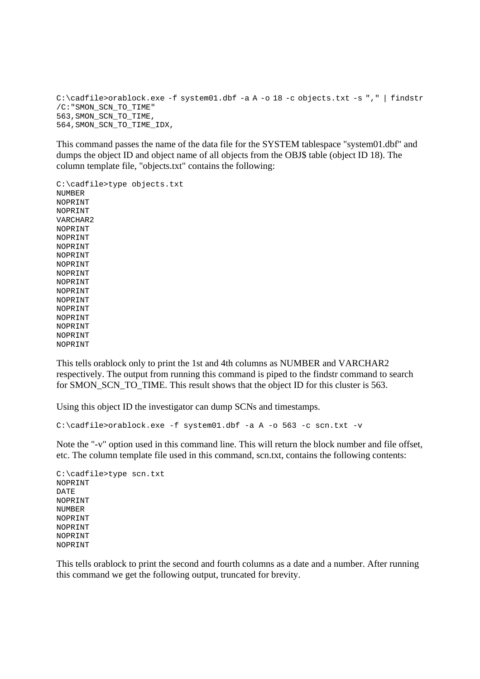C:\cadfile>orablock.exe -f system01.dbf -a A -o 18 -c objects.txt -s "," | findstr /C:"SMON\_SCN\_TO\_TIME" 563,SMON\_SCN\_TO\_TIME, 564,SMON\_SCN\_TO\_TIME\_IDX,

This command passes the name of the data file for the SYSTEM tablespace "system01.dbf" and dumps the object ID and object name of all objects from the OBJ\$ table (object ID 18). The column template file, "objects.txt" contains the following:

C:\cadfile>type objects.txt NUMBER NOPRINT NOPRINT VARCHAR2 NOPRINT NOPRINT NOPRINT NOPRINT NOPRINT NOPRINT NOPRINT NOPRINT NOPRINT NOPRINT NOPRINT NOPRINT NOPRINT NOPRINT

This tells orablock only to print the 1st and 4th columns as NUMBER and VARCHAR2 respectively. The output from running this command is piped to the findstr command to search for SMON\_SCN\_TO\_TIME. This result shows that the object ID for this cluster is 563.

Using this object ID the investigator can dump SCNs and timestamps.

```
C:\cadfile>orablock.exe -f system01.dbf -a A -o 563 -c scn.txt -v
```
Note the "-v" option used in this command line. This will return the block number and file offset, etc. The column template file used in this command, scn.txt, contains the following contents:

```
C:\cadfile>type scn.txt 
NOPRINT 
DATE 
NOPRINT 
NUMBER 
NOPRINT 
NOPRINT 
NOPRINT 
NOPRINT
```
This tells orablock to print the second and fourth columns as a date and a number. After running this command we get the following output, truncated for brevity.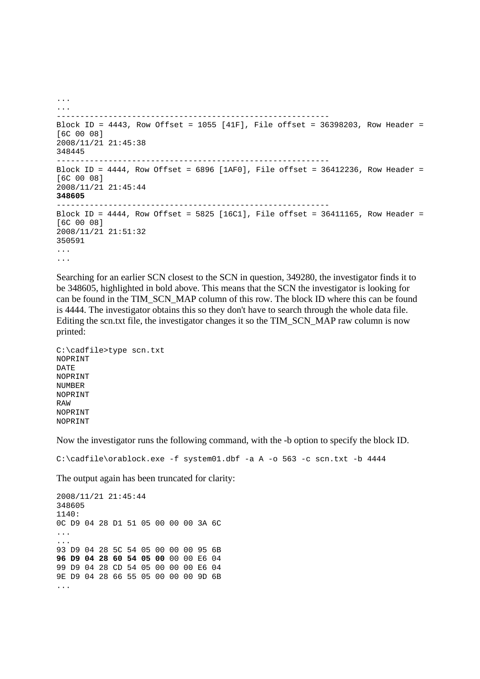```
... 
... 
    ---------------------------------------------------------- 
Block ID = 4443, Row Offset = 1055 [41F], File offset = 36398203, Row Header = 
[6C 00 08] 
2008/11/21 21:45:38 
348445 
---------------------------------------------------------- 
Block ID = 4444, Row Offset = 6896 [1AF0], File offset = 36412236, Row Header =
[6C 00 08] 
2008/11/21 21:45:44 
348605
---------------------------------------------------------- 
Block ID = 4444, Row Offset = 5825 [16C1], File offset = 36411165, Row Header =
[6C 00 08] 
2008/11/21 21:51:32 
350591 
... 
...
```
Searching for an earlier SCN closest to the SCN in question, 349280, the investigator finds it to be 348605, highlighted in bold above. This means that the SCN the investigator is looking for can be found in the TIM\_SCN\_MAP column of this row. The block ID where this can be found is 4444. The investigator obtains this so they don't have to search through the whole data file. Editing the scn.txt file, the investigator changes it so the TIM\_SCN\_MAP raw column is now printed:

```
C:\cadfile>type scn.txt 
NOPRINT 
DATE 
NOPRINT 
NUMBER 
NOPRINT 
RAW 
NOPRINT 
NOPRINT
```
Now the investigator runs the following command, with the -b option to specify the block ID.

 $C:\c{adile\ord{orable}.exe -f system01.dbf -a A -o 563 -c son.txt -b 4444}$ 

The output again has been truncated for clarity:

```
2008/11/21 21:45:44 
348605 
1140: 
0C D9 04 28 D1 51 05 00 00 00 3A 6C 
... 
... 
93 D9 04 28 5C 54 05 00 00 00 95 6B 
96 D9 04 28 60 54 05 00 00 00 E6 04 
99 D9 04 28 CD 54 05 00 00 00 E6 04 
9E D9 04 28 66 55 05 00 00 00 9D 6B 
...
```